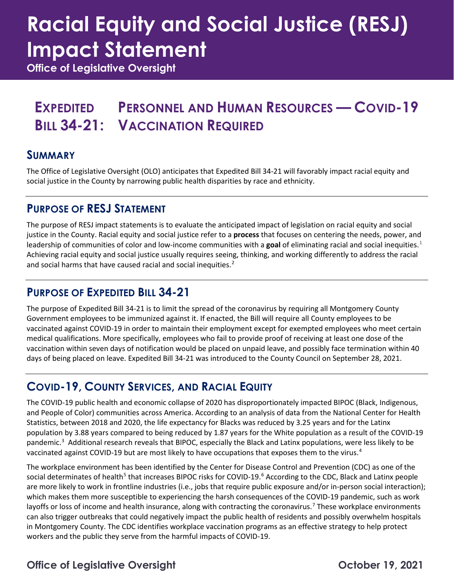# **Racial Equity and Social Justice (RESJ) Impact Statement**

**Office of Legislative Oversight**

### **EXPEDITED PERSONNEL AND HUMAN RESOURCES — COVID-19 BILL 34-21: VACCINATION REQUIRED**

### **SUMMARY**

The Office of Legislative Oversight (OLO) anticipates that Expedited Bill 34-21 will favorably impact racial equity and social justice in the County by narrowing public health disparities by race and ethnicity.

### **PURPOSE OF RESJ STATEMENT**

The purpose of RESJ impact statements is to evaluate the anticipated impact of legislation on racial equity and social justice in the County. Racial equity and social justice refer to a **process** that focuses on centering the needs, power, and leadership of communities of color and low-income communities with a **goal** of eliminating racial and social inequities.[1](#page-2-0) Achieving racial equity and social justice usually requires seeing, thinking, and working differently to address the racial and social harms that have caused racial and social inequities.<sup>[2](#page-2-1)</sup>

### **PURPOSE OF EXPEDITED BILL 34-21**

The purpose of Expedited Bill 34-21 is to limit the spread of the coronavirus by requiring all Montgomery County Government employees to be immunized against it. If enacted, the Bill will require all County employees to be vaccinated against COVID-19 in order to maintain their employment except for exempted employees who meet certain medical qualifications. More specifically, employees who fail to provide proof of receiving at least one dose of the vaccination within seven days of notification would be placed on unpaid leave, and possibly face termination within 40 days of being placed on leave. Expedited Bill 34-21 was introduced to the County Council on September 28, 2021.

### **COVID-19, COUNTY SERVICES, AND RACIAL EQUITY**

The COVID-19 public health and economic collapse of 2020 has disproportionately impacted BIPOC (Black, Indigenous, and People of Color) communities across America. According to an analysis of data from the National Center for Health Statistics, between 2018 and 2020, the life expectancy for Blacks was reduced by 3.25 years and for the Latinx population by 3.88 years compared to being reduced by 1.87 years for the White population as a result of the COVID-19 pandemic.<sup>[3](#page-2-2)</sup> Additional research reveals that BIPOC, especially the Black and Latinx populations, were less likely to be vaccinated against COVID-19 but are most likely to have occupations that exposes them to the virus.<sup>[4](#page-2-3)</sup>

The workplace environment has been identified by the Center for Disease Control and Prevention (CDC) as one of the social determinates of health<sup>[5](#page-2-4)</sup> that increases BIPOC risks for COVID-19.<sup>[6](#page-2-5)</sup> According to the CDC, Black and Latinx people are more likely to work in frontline industries (i.e., jobs that require public exposure and/or in-person social interaction); which makes them more susceptible to experiencing the harsh consequences of the COVID-19 pandemic, such as work layoffs or loss of income and health insurance, along with contracting the coronavirus.<sup>[7](#page-2-6)</sup> These workplace environments can also trigger outbreaks that could negatively impact the public health of residents and possibly overwhelm hospitals in Montgomery County. The CDC identifies workplace vaccination programs as an effective strategy to help protect workers and the public they serve from the harmful impacts of COVID-19.

### **Office of Legislative Oversight Change 19, 2021**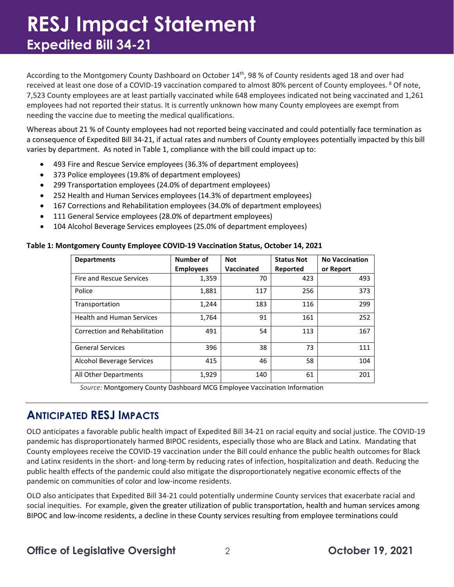## **RESJ Impact Statement Expedited Bill 34-21**

According to the Montgomery County Dashboard on October 14<sup>th</sup>, 98 % of County residents aged 18 and over had received at least one dose of a COVID-19 vaccination compared to almost [8](#page-2-7)0% percent of County employees. <sup>8</sup> Of note, 7,523 County employees are at least partially vaccinated while 648 employees indicated not being vaccinated and 1,261 employees had not reported their status. It is currently unknown how many County employees are exempt from needing the vaccine due to meeting the medical qualifications.

Whereas about 21 % of County employees had not reported being vaccinated and could potentially face termination as a consequence of Expedited Bill 34-21, if actual rates and numbers of County employees potentially impacted by this bill varies by department. As noted in Table 1, compliance with the bill could impact up to:

- 493 Fire and Rescue Service employees (36.3% of department employees)
- 373 Police employees (19.8% of department employees)
- 299 Transportation employees (24.0% of department employees)
- 252 Health and Human Services employees (14.3% of department employees)
- 167 Corrections and Rehabilitation employees (34.0% of department employees)
- 111 General Service employees (28.0% of department employees)
- 104 Alcohol Beverage Services employees (25.0% of department employees)

#### **Table 1: Montgomery County Employee COVID-19 Vaccination Status, October 14, 2021**

| <b>Departments</b>               | Number of        | <b>Not</b> | <b>Status Not</b> | <b>No Vaccination</b> |
|----------------------------------|------------------|------------|-------------------|-----------------------|
|                                  | <b>Employees</b> | Vaccinated | Reported          | or Report             |
| Fire and Rescue Services         | 1,359            | 70         | 423               | 493                   |
| Police                           | 1,881            | 117        | 256               | 373                   |
| Transportation                   | 1,244            | 183        | 116               | 299                   |
| <b>Health and Human Services</b> | 1,764            | 91         | 161               | 252                   |
| Correction and Rehabilitation    | 491              | 54         | 113               | 167                   |
| <b>General Services</b>          | 396              | 38         | 73                | 111                   |
| Alcohol Beverage Services        | 415              | 46         | 58                | 104                   |
| All Other Departments            | 1,929            | 140        | 61                | 201                   |

*Source:* Montgomery County Dashboard MCG Employee Vaccination Information

#### **ANTICIPATED RESJ IMPACTS**

OLO anticipates a favorable public health impact of Expedited Bill 34-21 on racial equity and social justice. The COVID-19 pandemic has disproportionately harmed BIPOC residents, especially those who are Black and Latinx. Mandating that County employees receive the COVID-19 vaccination under the Bill could enhance the public health outcomes for Black and Latinx residents in the short- and long-term by reducing rates of infection, hospitalization and death. Reducing the public health effects of the pandemic could also mitigate the disproportionately negative economic effects of the pandemic on communities of color and low-income residents.

OLO also anticipates that Expedited Bill 34-21 could potentially undermine County services that exacerbate racial and social inequities. For example, given the greater utilization of public transportation, health and human services among BIPOC and low-income residents, a decline in these County services resulting from employee terminations could